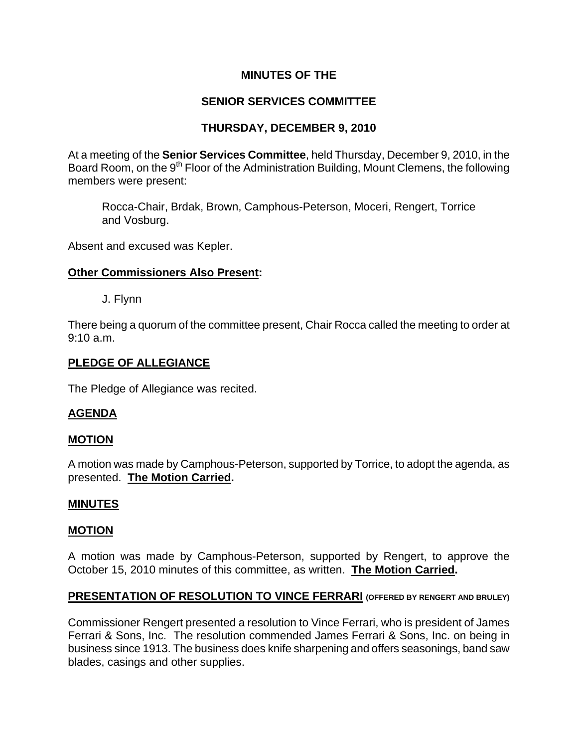# **MINUTES OF THE**

# **SENIOR SERVICES COMMITTEE**

# **THURSDAY, DECEMBER 9, 2010**

At a meeting of the **Senior Services Committee**, held Thursday, December 9, 2010, in the Board Room, on the 9<sup>th</sup> Floor of the Administration Building, Mount Clemens, the following members were present:

Rocca-Chair, Brdak, Brown, Camphous-Peterson, Moceri, Rengert, Torrice and Vosburg.

Absent and excused was Kepler.

## **Other Commissioners Also Present:**

J. Flynn

There being a quorum of the committee present, Chair Rocca called the meeting to order at 9:10 a.m.

# **PLEDGE OF ALLEGIANCE**

The Pledge of Allegiance was recited.

## **AGENDA**

## **MOTION**

A motion was made by Camphous-Peterson, supported by Torrice, to adopt the agenda, as presented. **The Motion Carried.** 

## **MINUTES**

## **MOTION**

A motion was made by Camphous-Peterson, supported by Rengert, to approve the October 15, 2010 minutes of this committee, as written. **The Motion Carried.** 

## **PRESENTATION OF RESOLUTION TO VINCE FERRARI (OFFERED BY RENGERT AND BRULEY)**

Commissioner Rengert presented a resolution to Vince Ferrari, who is president of James Ferrari & Sons, Inc. The resolution commended James Ferrari & Sons, Inc. on being in business since 1913. The business does knife sharpening and offers seasonings, band saw blades, casings and other supplies.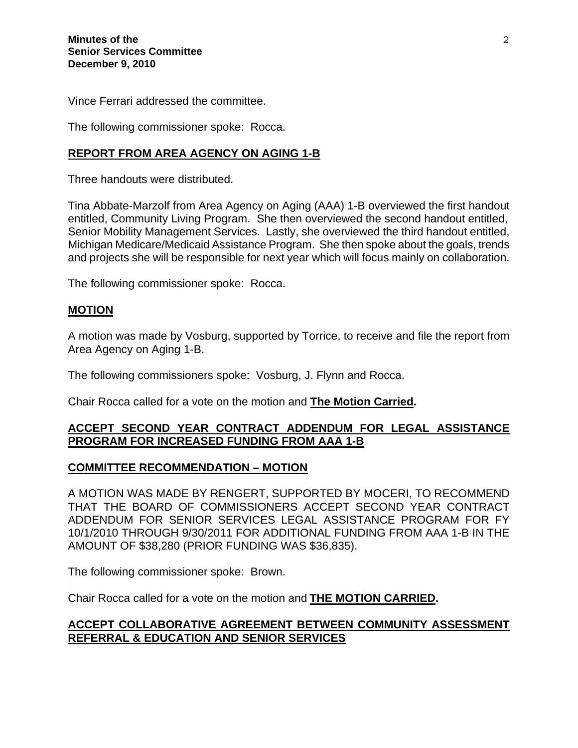Vince Ferrari addressed the committee.

The following commissioner spoke: Rocca.

## **REPORT FROM AREA AGENCY ON AGING 1-B**

Three handouts were distributed.

Tina Abbate-Marzolf from Area Agency on Aging (AAA) 1-B overviewed the first handout entitled, Community Living Program. She then overviewed the second handout entitled, Senior Mobility Management Services. Lastly, she overviewed the third handout entitled, Michigan Medicare/Medicaid Assistance Program. She then spoke about the goals, trends and projects she will be responsible for next year which will focus mainly on collaboration.

The following commissioner spoke: Rocca.

### **MOTION**

A motion was made by Vosburg, supported by Torrice, to receive and file the report from Area Agency on Aging 1-B.

The following commissioners spoke: Vosburg, J. Flynn and Rocca.

Chair Rocca called for a vote on the motion and **The Motion Carried.** 

## **ACCEPT SECOND YEAR CONTRACT ADDENDUM FOR LEGAL ASSISTANCE PROGRAM FOR INCREASED FUNDING FROM AAA 1-B**

### **COMMITTEE RECOMMENDATION – MOTION**

A MOTION WAS MADE BY RENGERT, SUPPORTED BY MOCERI, TO RECOMMEND THAT THE BOARD OF COMMISSIONERS ACCEPT SECOND YEAR CONTRACT ADDENDUM FOR SENIOR SERVICES LEGAL ASSISTANCE PROGRAM FOR FY 10/1/2010 THROUGH 9/30/2011 FOR ADDITIONAL FUNDING FROM AAA 1-B IN THE AMOUNT OF \$38,280 (PRIOR FUNDING WAS \$36,835).

The following commissioner spoke: Brown.

Chair Rocca called for a vote on the motion and **THE MOTION CARRIED.** 

## **ACCEPT COLLABORATIVE AGREEMENT BETWEEN COMMUNITY ASSESSMENT REFERRAL & EDUCATION AND SENIOR SERVICES**